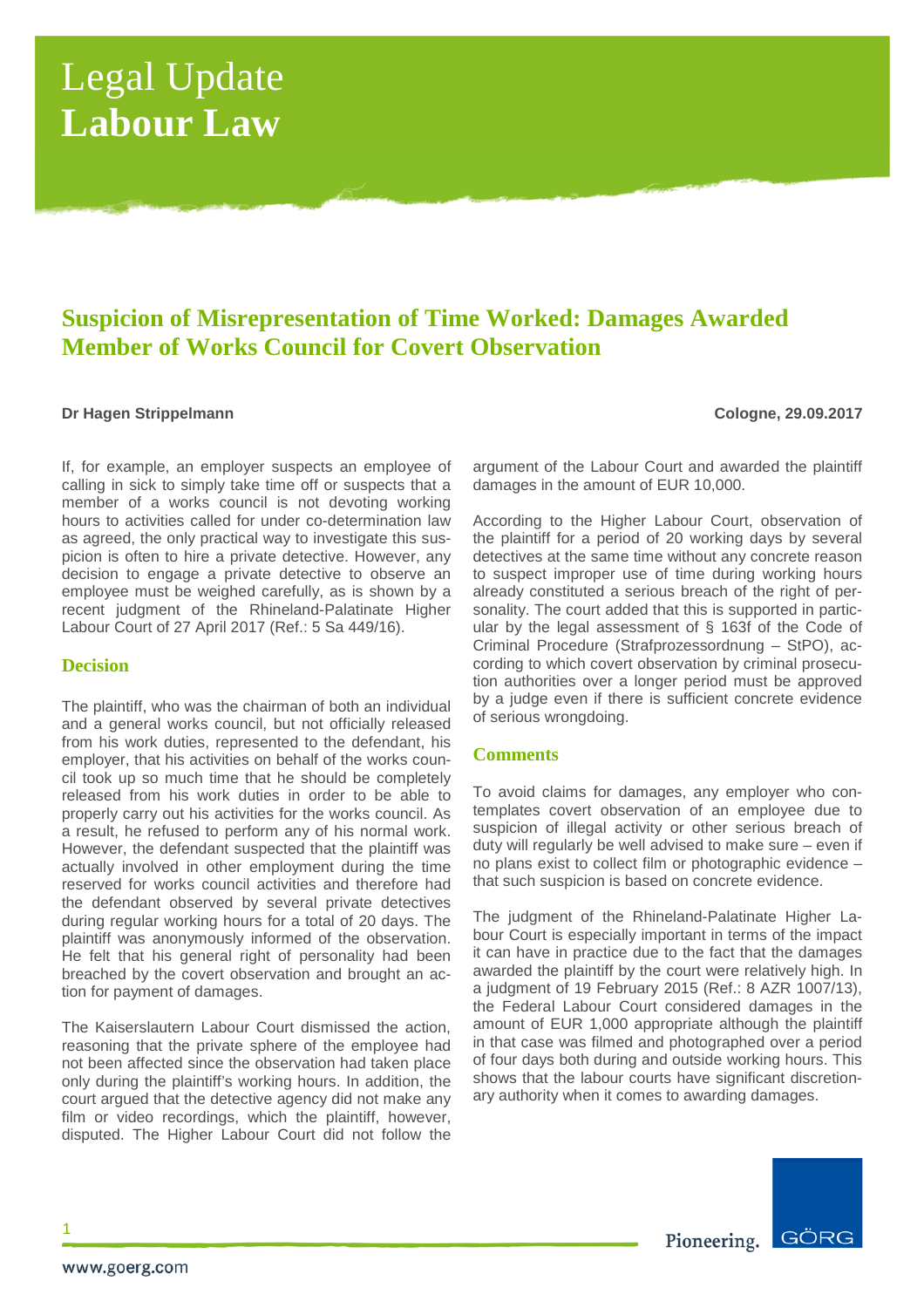# Legal Update **Labour Law**

# **Suspicion of Misrepresentation of Time Worked: Damages Awarded Member of Works Council for Covert Observation**

### **Dr Hagen Strippelmann Cologne, 29.09.2017**

If, for example, an employer suspects an employee of calling in sick to simply take time off or suspects that a member of a works council is not devoting working hours to activities called for under co-determination law as agreed, the only practical way to investigate this suspicion is often to hire a private detective. However, any decision to engage a private detective to observe an employee must be weighed carefully, as is shown by a recent judgment of the Rhineland-Palatinate Higher Labour Court of 27 April 2017 (Ref.: 5 Sa 449/16).

# **Decision**

The plaintiff, who was the chairman of both an individual and a general works council, but not officially released from his work duties, represented to the defendant, his employer, that his activities on behalf of the works council took up so much time that he should be completely released from his work duties in order to be able to properly carry out his activities for the works council. As a result, he refused to perform any of his normal work. However, the defendant suspected that the plaintiff was actually involved in other employment during the time reserved for works council activities and therefore had the defendant observed by several private detectives during regular working hours for a total of 20 days. The plaintiff was anonymously informed of the observation. He felt that his general right of personality had been breached by the covert observation and brought an action for payment of damages.

The Kaiserslautern Labour Court dismissed the action, reasoning that the private sphere of the employee had not been affected since the observation had taken place only during the plaintiff's working hours. In addition, the court argued that the detective agency did not make any film or video recordings, which the plaintiff, however, disputed. The Higher Labour Court did not follow the argument of the Labour Court and awarded the plaintiff damages in the amount of EUR 10,000.

According to the Higher Labour Court, observation of the plaintiff for a period of 20 working days by several detectives at the same time without any concrete reason to suspect improper use of time during working hours already constituted a serious breach of the right of personality. The court added that this is supported in particular by the legal assessment of § 163f of the Code of Criminal Procedure (Strafprozessordnung – StPO), according to which covert observation by criminal prosecution authorities over a longer period must be approved by a judge even if there is sufficient concrete evidence of serious wrongdoing.

# **Comments**

To avoid claims for damages, any employer who contemplates covert observation of an employee due to suspicion of illegal activity or other serious breach of duty will regularly be well advised to make sure – even if no plans exist to collect film or photographic evidence – that such suspicion is based on concrete evidence.

The judgment of the Rhineland-Palatinate Higher Labour Court is especially important in terms of the impact it can have in practice due to the fact that the damages awarded the plaintiff by the court were relatively high. In a judgment of 19 February 2015 (Ref.: 8 AZR 1007/13), the Federal Labour Court considered damages in the amount of EUR 1,000 appropriate although the plaintiff in that case was filmed and photographed over a period of four days both during and outside working hours. This shows that the labour courts have significant discretionary authority when it comes to awarding damages.